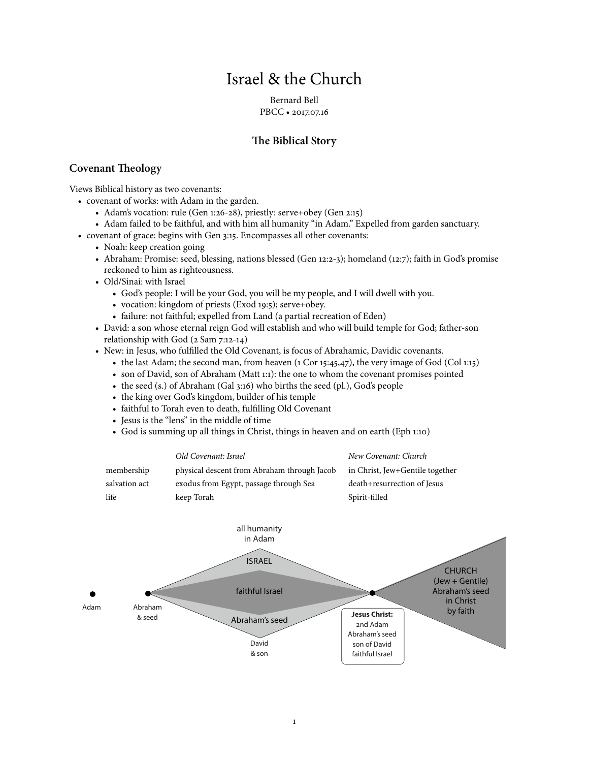# Israel & the Church

Bernard Bell PBCC • 2017.07.16

# **Te Biblical Story**

### **Covenant Teology**

Views Biblical history as two covenants:

- covenant of works: with Adam in the garden.
	- Adam's vocation: rule (Gen 1:26-28), priestly: serve+obey (Gen 2:15)
	- Adam failed to be faithful, and with him all humanity "in Adam." Expelled from garden sanctuary.
- covenant of grace: begins with Gen 3:15. Encompasses all other covenants:
	- Noah: keep creation going
	- Abraham: Promise: seed, blessing, nations blessed (Gen 12:2-3); homeland (12:7); faith in God's promise reckoned to him as righteousness.
	- Old/Sinai: with Israel
		- God's people: I will be your God, you will be my people, and I will dwell with you.
		- vocation: kingdom of priests (Exod 19:5); serve+obey.
		- failure: not faithful; expelled from Land (a partial recreation of Eden)
	- David: a son whose eternal reign God will establish and who will build temple for God; father-son relationship with God (2 Sam 7:12-14)
	- New: in Jesus, who fulfilled the Old Covenant, is focus of Abrahamic, Davidic covenants.
		- the last Adam; the second man, from heaven (1 Cor 15:45,47), the very image of God (Col 1:15)
		- son of David, son of Abraham (Matt 1:1): the one to whom the covenant promises pointed
		- the seed (s.) of Abraham (Gal 3:16) who births the seed (pl.), God's people
		- the king over God's kingdom, builder of his temple
		- faithful to Torah even to death, fulfilling Old Covenant
		- Jesus is the "lens" in the middle of time
		- God is summing up all things in Christ, things in heaven and on earth (Eph 1:10)

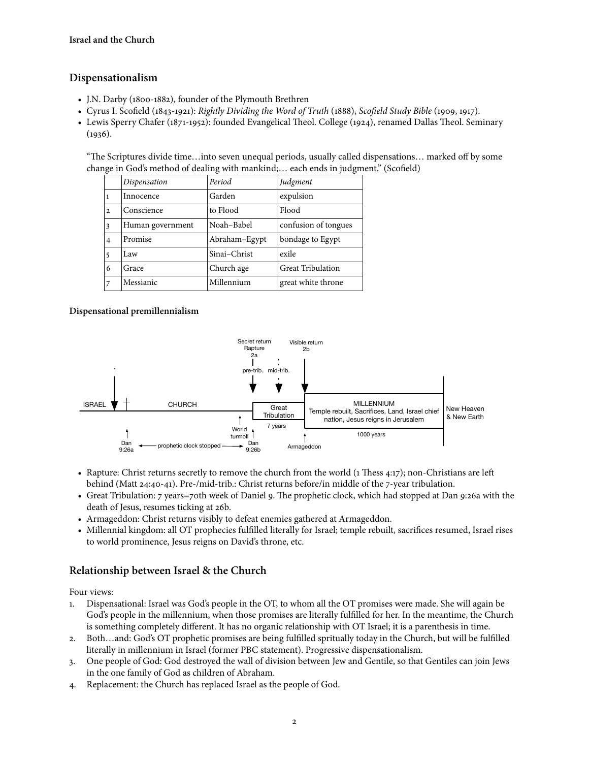### **Dispensationalism**

- J.N. Darby (1800-1882), founder of the Plymouth Brethren
- Cyrus I. Scofield (1843-1921): *Rightly Dividing the Word of Truth* (1888), *Sco*fi*eld Study Bible* (1909, 1917).
- Lewis Sperry Chafer (1871-1952): founded Evangelical Theol. College (1924), renamed Dallas Theol. Seminary  $(1936).$

"Te Scriptures divide time…into seven unequal periods, usually called dispensations… marked off by some change in God's method of dealing with mankind;… each ends in judgment." (Scofield)

|                | Dispensation     | Period        | Judgment                 |
|----------------|------------------|---------------|--------------------------|
|                | Innocence        | Garden        | expulsion                |
| $\mathbf{2}$   | Conscience       | to Flood      | Flood                    |
| 3              | Human government | Noah-Babel    | confusion of tongues     |
| $\overline{4}$ | Promise          | Abraham-Egypt | bondage to Egypt         |
| 5              | Law              | Sinai-Christ  | exile                    |
| 6              | Grace            | Church age    | <b>Great Tribulation</b> |
|                | Messianic        | Millennium    | great white throne       |

### **Dispensational premillennialism**



- Rapture: Christ returns secretly to remove the church from the world  $(1)$  Thess 4:17); non-Christians are left behind (Matt 24:40-41). Pre-/mid-trib.: Christ returns before/in middle of the 7-year tribulation.
- Great Tribulation: 7 years=70th week of Daniel 9. The prophetic clock, which had stopped at Dan 9:26a with the death of Jesus, resumes ticking at 26b.
- Armageddon: Christ returns visibly to defeat enemies gathered at Armageddon.
- Millennial kingdom: all OT prophecies fulfilled literally for Israel; temple rebuilt, sacrifices resumed, Israel rises to world prominence, Jesus reigns on David's throne, etc.

### **Relationship between Israel & the Church**

#### Four views:

- 1. Dispensational: Israel was God's people in the OT, to whom all the OT promises were made. She will again be God's people in the millennium, when those promises are literally fulfilled for her. In the meantime, the Church is something completely different. It has no organic relationship with OT Israel; it is a parenthesis in time.
- 2. Both…and: God's OT prophetic promises are being fulfilled spritually today in the Church, but will be fulfilled literally in millennium in Israel (former PBC statement). Progressive dispensationalism.
- 3. One people of God: God destroyed the wall of division between Jew and Gentile, so that Gentiles can join Jews in the one family of God as children of Abraham.
- 4. Replacement: the Church has replaced Israel as the people of God.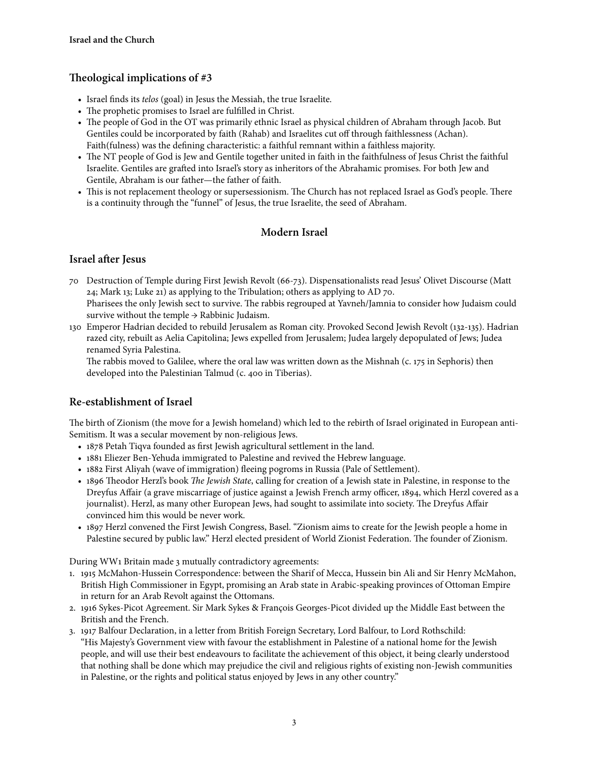# **Teological implications of #3**

- Israel finds its *telos* (goal) in Jesus the Messiah, the true Israelite.
- The prophetic promises to Israel are fulfilled in Christ.
- The people of God in the OT was primarily ethnic Israel as physical children of Abraham through Jacob. But Gentiles could be incorporated by faith (Rahab) and Israelites cut off through faithlessness (Achan). Faith(fulness) was the defining characteristic: a faithful remnant within a faithless majority.
- The NT people of God is Jew and Gentile together united in faith in the faithfulness of Jesus Christ the faithful Israelite. Gentiles are grafed into Israel's story as inheritors of the Abrahamic promises. For both Jew and Gentile, Abraham is our father—the father of faith.
- This is not replacement theology or supersessionism. The Church has not replaced Israel as God's people. There is a continuity through the "funnel" of Jesus, the true Israelite, the seed of Abraham.

# **Modern Israel**

### **Israel afer Jesus**

- 70 Destruction of Temple during First Jewish Revolt (66-73). Dispensationalists read Jesus' Olivet Discourse (Matt 24; Mark 13; Luke 21) as applying to the Tribulation; others as applying to AD 70. Pharisees the only Jewish sect to survive. The rabbis regrouped at Yavneh/Jamnia to consider how Judaism could survive without the temple  $\rightarrow$  Rabbinic Judaism.
- 130 Emperor Hadrian decided to rebuild Jerusalem as Roman city. Provoked Second Jewish Revolt (132-135). Hadrian razed city, rebuilt as Aelia Capitolina; Jews expelled from Jerusalem; Judea largely depopulated of Jews; Judea renamed Syria Palestina.

The rabbis moved to Galilee, where the oral law was written down as the Mishnah (c. 175 in Sephoris) then developed into the Palestinian Talmud (c. 400 in Tiberias).

### **Re-establishment of Israel**

The birth of Zionism (the move for a Jewish homeland) which led to the rebirth of Israel originated in European anti-Semitism. It was a secular movement by non-religious Jews.

- 1878 Petah Tiqva founded as first Jewish agricultural settlement in the land.
- 1881 Eliezer Ben-Yehuda immigrated to Palestine and revived the Hebrew language.
- 1882 First Aliyah (wave of immigration) fleeing pogroms in Russia (Pale of Settlement).
- 1896 Theodor Herzl's book *The Jewish State*, calling for creation of a Jewish state in Palestine, in response to the Dreyfus Affair (a grave miscarriage of justice against a Jewish French army officer, 1894, which Herzl covered as a journalist). Herzl, as many other European Jews, had sought to assimilate into society. The Dreyfus Affair convinced him this would be never work.
- 1897 Herzl convened the First Jewish Congress, Basel. "Zionism aims to create for the Jewish people a home in Palestine secured by public law." Herzl elected president of World Zionist Federation. The founder of Zionism.

During WW1 Britain made 3 mutually contradictory agreements:

- 1. 1915 McMahon-Hussein Correspondence: between the Sharif of Mecca, Hussein bin Ali and Sir Henry McMahon, British High Commissioner in Egypt, promising an Arab state in Arabic-speaking provinces of Ottoman Empire in return for an Arab Revolt against the Ottomans.
- 2. 1916 Sykes-Picot Agreement. Sir Mark Sykes & François Georges-Picot divided up the Middle East between the British and the French.
- 3. 1917 Balfour Declaration, in a letter from British Foreign Secretary, Lord Balfour, to Lord Rothschild: "His Majesty's Government view with favour the establishment in Palestine of a national home for the Jewish people, and will use their best endeavours to facilitate the achievement of this object, it being clearly understood that nothing shall be done which may prejudice the civil and religious rights of existing non-Jewish communities in Palestine, or the rights and political status enjoyed by Jews in any other country."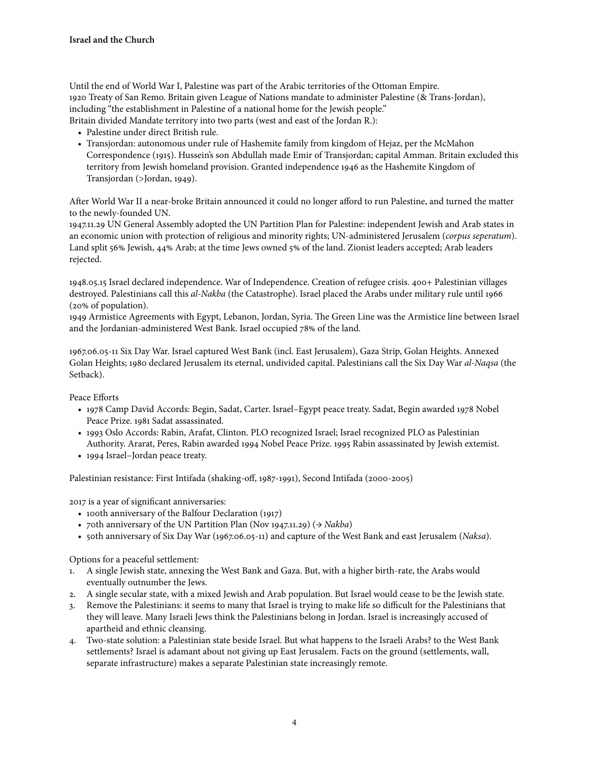Until the end of World War I, Palestine was part of the Arabic territories of the Ottoman Empire. 1920 Treaty of San Remo. Britain given League of Nations mandate to administer Palestine (& Trans-Jordan), including "the establishment in Palestine of a national home for the Jewish people." Britain divided Mandate territory into two parts (west and east of the Jordan R.):

- Palestine under direct British rule.
- Transjordan: autonomous under rule of Hashemite family from kingdom of Hejaz, per the McMahon Correspondence (1915). Hussein's son Abdullah made Emir of Transjordan; capital Amman. Britain excluded this territory from Jewish homeland provision. Granted independence 1946 as the Hashemite Kingdom of Transjordan (>Jordan, 1949).

Afer World War II a near-broke Britain announced it could no longer afford to run Palestine, and turned the matter to the newly-founded UN.

1947.11.29 UN General Assembly adopted the UN Partition Plan for Palestine: independent Jewish and Arab states in an economic union with protection of religious and minority rights; UN-administered Jerusalem (*corpus seperatum*). Land split 56% Jewish, 44% Arab; at the time Jews owned 5% of the land. Zionist leaders accepted; Arab leaders rejected.

1948.05.15 Israel declared independence. War of Independence. Creation of refugee crisis. 400+ Palestinian villages destroyed. Palestinians call this *al-Nakba* (the Catastrophe). Israel placed the Arabs under military rule until 1966 (20% of population).

1949 Armistice Agreements with Egypt, Lebanon, Jordan, Syria. The Green Line was the Armistice line between Israel and the Jordanian-administered West Bank. Israel occupied 78% of the land.

1967.06.05-11 Six Day War. Israel captured West Bank (incl. East Jerusalem), Gaza Strip, Golan Heights. Annexed Golan Heights; 1980 declared Jerusalem its eternal, undivided capital. Palestinians call the Six Day War *al-Naqsa* (the Setback).

Peace Efforts

- 1978 Camp David Accords: Begin, Sadat, Carter. Israel–Egypt peace treaty. Sadat, Begin awarded 1978 Nobel Peace Prize. 1981 Sadat assassinated.
- 1993 Oslo Accords: Rabin, Arafat, Clinton. PLO recognized Israel; Israel recognized PLO as Palestinian Authority. Ararat, Peres, Rabin awarded 1994 Nobel Peace Prize. 1995 Rabin assassinated by Jewish extemist.
- 1994 Israel–Jordan peace treaty.

Palestinian resistance: First Intifada (shaking-off, 1987-1991), Second Intifada (2000-2005)

2017 is a year of significant anniversaries:

- 100th anniversary of the Balfour Declaration (1917)
- 70th anniversary of the UN Partition Plan (Nov 1947.11.29) (→ *Nakba*)
- 50th anniversary of Six Day War (1967.06.05-11) and capture of the West Bank and east Jerusalem (*Naksa*).

Options for a peaceful settlement:

- 1. A single Jewish state, annexing the West Bank and Gaza. But, with a higher birth-rate, the Arabs would eventually outnumber the Jews.
- 2. A single secular state, with a mixed Jewish and Arab population. But Israel would cease to be the Jewish state.
- 3. Remove the Palestinians: it seems to many that Israel is trying to make life so difficult for the Palestinians that they will leave. Many Israeli Jews think the Palestinians belong in Jordan. Israel is increasingly accused of apartheid and ethnic cleansing.
- 4. Two-state solution: a Palestinian state beside Israel. But what happens to the Israeli Arabs? to the West Bank settlements? Israel is adamant about not giving up East Jerusalem. Facts on the ground (settlements, wall, separate infrastructure) makes a separate Palestinian state increasingly remote.